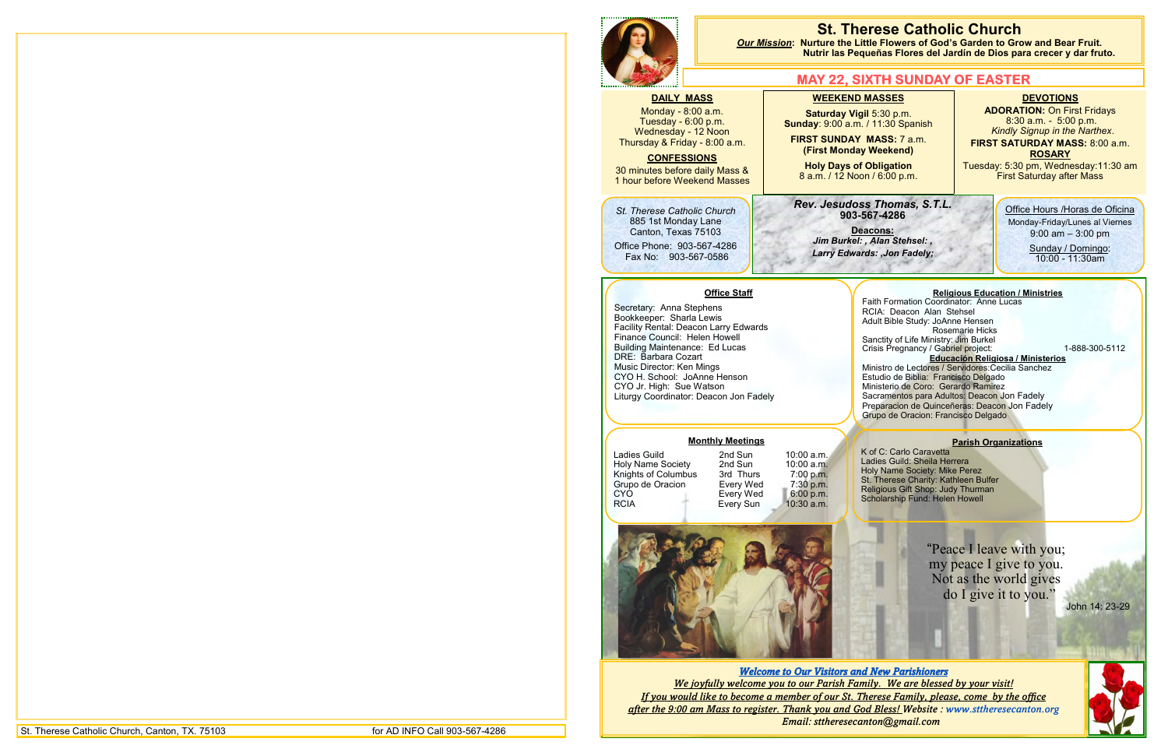|                                                                                                                                                                                                                                                |                                                                                                        | <b>St. The</b><br><b>Our Mission: Nurture the Litt</b><br><b>Nutrir las Pequ</b><br><u>MAY 22, SI)</u>                                                   |                                                     |
|------------------------------------------------------------------------------------------------------------------------------------------------------------------------------------------------------------------------------------------------|--------------------------------------------------------------------------------------------------------|----------------------------------------------------------------------------------------------------------------------------------------------------------|-----------------------------------------------------|
| <b>DAILY MASS</b><br>Monday - 8:00 a.m.<br>Tuesday - 6:00 p.m.<br><b>Wednesday - 12 Noon</b><br>Thursday & Friday - 8:00 a.m.<br><b>CONFESSIONS</b><br>30 minutes before daily Mass &<br>1 hour before Weekend Masses                          |                                                                                                        | <b>WEEKEND M</b><br><b>Saturday Vigil</b><br>Sunday: 9:00 a.m. /<br><b>FIRST SUNDAY N</b><br>(First Monday)<br><b>Holy Days of C</b><br>8 a.m. / 12 Noon |                                                     |
| St. Therese Catholic Church<br>885 1st Monday Lane<br>Canton, Texas 75103<br>Office Phone: 903-567-4286<br>Fax No: 903-567-0586                                                                                                                |                                                                                                        | <b>Rev. Jesudoss</b><br>903-56<br>Dea<br>Jim Burkel:,<br><b>Larry Edward</b>                                                                             |                                                     |
| Secretary: Anna Stephens<br>Bookkeeper: Sharla Lewis<br>Finance Council: Helen Howell<br><b>Building Maintenance: Ed Lucas</b><br>DRE: Barbara Cozart<br>Music Director: Ken Mings<br>CYO H. School: JoAnne Henson<br>CYO Jr. High: Sue Watson | <b>Office Staff</b><br>Facility Rental: Deacon Larry Edwards<br>Liturgy Coordinator: Deacon Jon Fadely | A                                                                                                                                                        | F٤<br>R١<br>S<br>Cı<br>м<br>E١<br>M<br>S<br>Pı<br>G |
| Ladies Guild<br><b>Holy Name Society</b><br>Knights of Columbus<br>Grupo de Oracion<br><b>CYO</b><br><b>RCIA</b>                                                                                                                               | <b>Monthly Meetings</b><br>2nd Sun<br>2nd Sun<br>3rd Thurs<br>Every Wed<br>Every Wed<br>Every Sun      | K<br>10:00 a.m.<br>La<br>10:00 a.m.<br>H<br>7:00 p.m.<br>St<br>7:30 p.m.<br>Re<br>6:00 p.m.<br>Sc<br>10:30 a.m.                                          |                                                     |
|                                                                                                                                                                                                                                                |                                                                                                        |                                                                                                                                                          |                                                     |

Office Hours /Horas de Oficina Monday-Friday/Lunes al Viernes 9:00 am – 3:00 pm

> Sunday / Domingo: 10:00 - 11:30am

*Thomas, S.T.L.* **903-567-4286**

cons: Alan Stehsel: , *Larry Edwards: ,Jon Fadely;* 

#### **DEVOTIONS ADORATION: On First Fridays** 8:30 a.m. - 5:00 p.m. *Kindly Signup in the Narthex*. **FIRST SATURDAY MASS:** 8:00 a.m. **ROSARY**

Tuesday: 5:30 pm, Wednesday:11:30 am First Saturday after Mass

of C: Carlo Caravetta dies Guild: Sheila Herrera اہ*k*y Name Society: Mike Perez Therese Charity: Kathleen Bulfer Religious Gift Shop: Judy Thurman Scholarship Fund: Helen Howell

#### **Religious Education / Ministries**

- aith Formation Coordinator: Anne Lucas RCIA: Deacon Alan Stehsel dult Bible Study: JoAnne Hensen Rosemarie Hicks Sanctity of Life Ministry: Jim Burkel
- Crisis Pregnancy / Gabriel project: 1-888-300-5112 **Educación Religiosa / Ministerios** Ministro de Lectores / Servidores:Cecilia Sanchez
- studio de Biblia: Francisco Delgado Ministerio de Coro: Gerardo Ramirez acramentos para Adultos: Deacon Jon Fadely reparacion de Quinceñeras: Deacon Jon Fadely rupo de Oracion: Francisco Delgado

## **Parish Organizations**

*Welcome to Our Visitors and New Parishioners We joyfully welcome you to our Parish Family. We are blessed by your visit! If you would like to become a member of our St. Therese Family, please, come by the office after the 9:00 am Mass to register. Thank you and God Bless! Website : www.sttheresecanton.org Email: sttheresecanton@gmail.com* 

## **Frese Catholic Church Combight Mission Starture Exter and Sear Fruit. Conset Carden External External External External External External External External External External External External External External External External External Exte Inute Flores del Jardín de Dios para crecer y dar fruto.**

## **KTH SUNDAY OF EASTER**

#### **MASSES**

**5:30 p.m. 11:30 Spanish** 

**MASS:** 7 a.m. **Weekend)** 

**D**bligation  $/ 6:00 p.m.$ 

> "Peace I leave with you; my peace I give to you. Not as the world gives do I give it to you."

John 14: 23-29